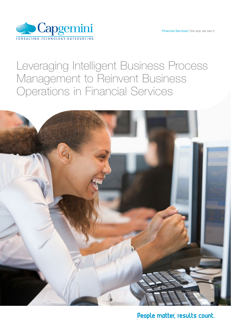

## Leveraging Intelligent Business Process Management to Reinvent Business Operations in Financial Services



People matter, results count.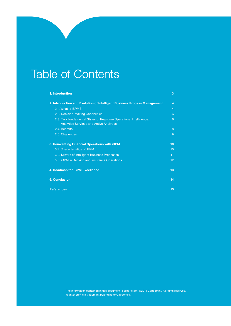## Table of Contents

| 1. Introduction                                                                                                      | 3              |
|----------------------------------------------------------------------------------------------------------------------|----------------|
| 2. Introduction and Evolution of Intelligent Business Process Management                                             | 4              |
| 2.1. What is iBPM?                                                                                                   | $\overline{4}$ |
| 2.2. Decision-making Capabilities                                                                                    | 6              |
| 2.3. Two Fundamental Styles of Real-time Operational Intelligence:<br><b>Analytics Services and Active Analytics</b> | 6              |
| 2.4. Benefits                                                                                                        | 8              |
| 2.5. Challenges                                                                                                      | 9              |
| 3. Reinventing Financial Operations with iBPM                                                                        | 10             |
| 3.1. Characteristics of iBPM                                                                                         | 10             |
| 3.2. Drivers of Intelligent Business Processes                                                                       | 11             |
| 3.3. <b>iBPM</b> in Banking and Insurance Operations                                                                 | 12             |
| 4. Roadmap for iBPM Excellence                                                                                       |                |
| <b>5. Conclusion</b>                                                                                                 | 14             |
| <b>References</b>                                                                                                    |                |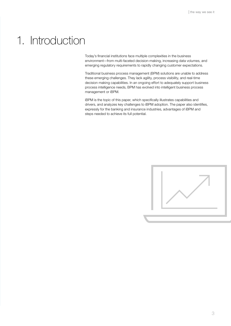## 1. Introduction

Today's financial institutions face multiple complexities in the business environment—from multi-faceted decision-making, increasing data volumes, and emerging regulatory requirements to rapidly changing customer expectations.

Traditional business process management (BPM) solutions are unable to address these emerging challenges. They lack agility, process visibility, and real-time decision making capabilities. In an ongoing effort to adequately support business process intelligence needs, BPM has evolved into intelligent business process management or iBPM.

iBPM is the topic of this paper, which specifically illustrates capabilities and drivers, and analyzes key challenges to iBPM adoption. The paper also identifies, expressly for the banking and insurance industries, advantages of iBPM and steps needed to achieve its full potential.

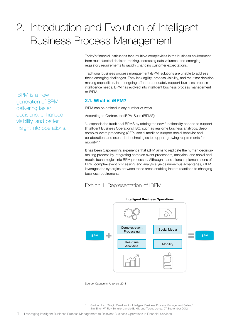## 2. Introduction and Evolution of Intelligent Business Process Management

Today's financial institutions face multiple complexities in the business environment, from multi-faceted decision-making, increasing data volumes, and emerging regulatory requirements to rapidly changing customer expectations.

Traditional business process management (BPM) solutions are unable to address these emerging challenges. They lack agility, process visibility, and real-time decision making capabilities. In an ongoing effort to adequately support business process intelligence needs, BPM has evolved into intelligent business process management or iBPM.

### 2.1. What is iBPM?

iBPM can be defined in any number of ways.

According to Gartner, the iBPM Suite (iBPMS):

"…expands the traditional BPMS by adding the new functionality needed to support [Intelligent Business Operations] IBO, such as real-time business analytics, deep complex-event processing (CEP), social media to support social behavior and collaboration, and expanded technologies to support growing requirements for mobility<sup>1</sup>."

It has been Capgemini's experience that iBPM aims to replicate the human decisionmaking process by integrating complex-event processors, analytics, and social and mobile technologies into BPM processes. Although stand-alone implementations of BPM, complex-event processing, and analytics yields numerous advantages, iBPM leverages the synergies between these areas enabling instant reactions to changing business requirements.

## Exhibit 1: Representation of iBPM



Source: Capgemini Analysis, 2013

1 Gartner, Inc.: "Magic Quadrant for Intelligent Business Process Management Suites," Jim Sinur, W. Roy Schulte, Janelle B. Hill, and Teresa Jones, 27 September 2012

iBPM is a new generation of BPM delivering faster decisions, enhanced visibility, and better insight into operations.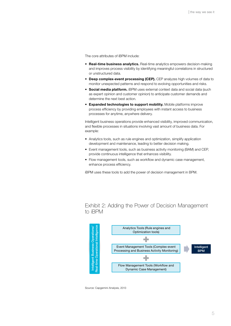The core attributes of iBPM include:

- Real-time business analytics. Real-time analytics empowers decision-making and improves process visibility by identifying meaningful correlations in structured or unstructured data.
- Deep complex-event processing (CEP). CEP analyzes high volumes of data to monitor unexpected patterns and respond to evolving opportunities and risks.
- Social media platform. iBPM uses external context data and social data (such as expert opinion and customer opinion) to anticipate customer demands and determine the next best action.
- Expanded technologies to support mobility. Mobile platforms improve process efficiency by providing employees with instant access to business processes for anytime, anywhere delivery.

Intelligent business operations provide enhanced visibility, improved communication, and flexible processes in situations involving vast amount of business data. For example:

- Analytics tools, such as rule engines and optimization, simplify application development and maintenance, leading to better decision making.
- Event management tools, such as business activity monitoring (BAM) and CEP, provide continuous intelligence that enhances visibility.
- Flow management tools, such as workflow and dynamic case management, enhance process efficiency.

iBPM uses these tools to add the power of decision management in BPM.

Exhibit 2: Adding the Power of Decision Management to iBPM



Source: Capgemini Analysis, 2013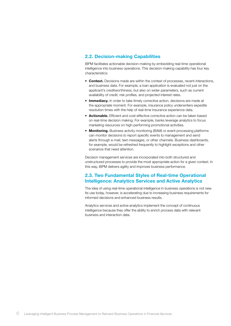#### 2.2. Decision-making Capabilities

iBPM facilitates actionable decision-making by embedding real-time operational intelligence into business operations. This decision-making capability has four key characteristics:

- Context. Decisions made are within the context of processes, recent interactions, and business data. For example, a loan application is evaluated not just on the applicant's creditworthiness, but also on wider parameters, such as current availability of credit, risk profiles, and projected interest rates.
- Immediacy. In order to take timely corrective action, decisions are made at the appropriate moment. For example, insurance policy underwriters expedite resolution times with the help of real-time insurance experience data.
- Actionable. Efficient and cost-effective corrective action can be taken based on real-time decision making. For example, banks leverage analytics to focus marketing resources on high-performing promotional activities.
- Monitoring. Business activity monitoring (BAM) or event-processing platforms can monitor decisions to report specific events to management and send alerts through e-mail, text messages, or other channels. Business dashboards, for example, would be refreshed frequently to highlight exceptions and other scenarios that need attention.

Decision management services are incorporated into both structured and unstructured processes to provide the most appropriate action for a given context. In this way, iBPM delivers agility and improves business performance.

### 2.3. Two Fundamental Styles of Real-time Operational Intelligence: Analytics Services and Active Analytics

The idea of using real-time operational intelligence in business operations is not new. Its use today, however, is accelerating due to increasing business requirements for informed decisions and enhanced business results.

Analytics services and active analytics implement the concept of continuous intelligence because they offer the ability to enrich process data with relevant business and interaction data.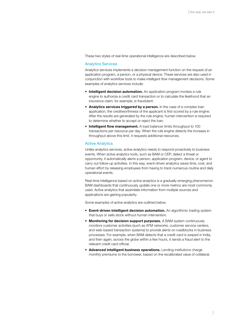These two styles of real-time operational intelligence are described below.

#### Analytics Services

Analytics services implements a decision management function on the request of an application program, a person, or a physical device. These services are also used in conjunction with workflow tools to make intelligent flow management decisions. Some examples of analytics services include:

- Intelligent decision automation. An application program invokes a rule engine to authorize a credit card transaction or to calculate the likelihood that an insurance claim, for example, is fraudulent.
- Analytics services triggered by a person. In the case of a complex loan application, the creditworthiness of the applicant is first scored by a rule engine. After the results are generated by the rule engine, human intervention is required to determine whether to accept or reject the loan.
- Intelligent flow management. A load balancer limits throughput to 100 transactions per resource per day. When the rule engine detects the increase in throughput above this limit, it requests additional resources.

#### Active Analytics

Unlike analytics services, active analytics needs to respond proactively to business events. When active analytics tools, such as BAM or CEP, detect a threat or opportunity, it automatically alerts a person, application program, device, or agent to carry out follow-up activities. In this way, event-driven analytics saves time, cost, and human effort by releasing employees from having to track numerous routine and daily operational events.

Real-time intelligence based on active analytics is a gradually emerging phenomenon. BAM dashboards that continuously update one or more metrics are most commonly used. Active analytics that assimilate information from multiple sources and applications are gaining popularity.

Some examples of active analytics are outlined below.

- Event-driven intelligent decision automation. An algorithmic trading system that buys or sells stock without human intervention.
- Monitoring for decision support purposes. A BAM system continuously monitors customer activities (such as ATM networks, customer service centers, and web-based transaction systems) to provide alerts on roadblocks in business processes. For example, when BAM detects that a credit card is swiped in India, and then again, across the globe within a few hours, it sends a fraud alert to the relevant credit card official.
- Advanced intelligent business operations. Lending institutions charge monthly premiums to the borrower, based on the recalibrated value of collateral.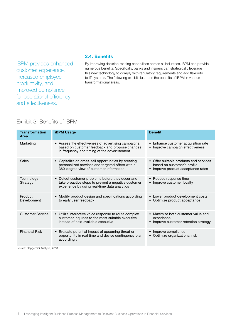iBPM provides enhanced customer experience, increased employee productivity, and improved compliance for operational efficiency and effectiveness.

### 2.4. Benefits

By improving decision-making capabilities across all industries, iBPM can provide numerous benefits. Specifically, banks and insurers can strategically leverage this new technology to comply with regulatory requirements and add flexibility to IT systems. The following exhibit illustrates the benefits of iBPM in various transformational areas.

## Exhibit 3: Benefits of iBPM

| <b>Transformation</b><br><b>Area</b> | <b>iBPM Usage</b>                                                                                                                                       | <b>Benefit</b>                                                                                              |
|--------------------------------------|---------------------------------------------------------------------------------------------------------------------------------------------------------|-------------------------------------------------------------------------------------------------------------|
| Marketing                            | • Assess the effectiveness of advertising campaigns,<br>based on customer feedback and propose changes<br>in frequency and timing of the advertisement  | Enhance customer acquisition rate<br>• Improve campaign effectiveness                                       |
| Sales                                | • Capitalize on cross-sell opportunities by creating<br>personalized services and targeted offers with a<br>360-degree view of customer information     | • Offer suitable products and services<br>based on customer's profile<br>• Improve product acceptance rates |
| Technology<br>Strategy               | • Detect customer problems before they occur and<br>take proactive steps to prevent a negative customer<br>experience by using real-time data analytics | • Reduce response time<br>• Improve customer loyalty                                                        |
| Product<br>Development               | • Modify product design and specifications according<br>to early user feedback                                                                          | Lower product development costs<br>• Optimize product acceptance                                            |
| Customer Service                     | • Utilize interactive voice response to route complex<br>customer inquiries to the most suitable executive<br>instead of next available executive       | • Maximize both customer value and<br>experience<br>• Improve customer retention strategy                   |
| <b>Financial Risk</b>                | • Evaluate potential impact of upcoming threat or<br>opportunity in real time and devise contingency plan<br>accordingly                                | • Improve compliance<br>• Optimize organizational risk                                                      |

Source: Capgemini Analysis, 2013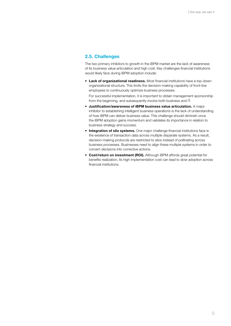#### 2.5. Challenges

The two primary inhibitors to growth in the iBPM market are the lack of awareness of its business value articulation and high cost. Key challenges financial institutions would likely face during iBPM adoption include:

• Lack of organizational readiness. Most financial institutions have a top-down organizational structure. This limits the decision-making capability of front-line employees to continuously optimize business processes.

For successful implementation, it is important to obtain management sponsorship from the beginning, and subsequently involve both business and IT.

- • Justification/awareness of iBPM business value articulation. A major inhibitor to establishing intelligent business operations is the lack of understanding of how iBPM can deliver business value. This challenge should diminish once the iBPM adoption gains momentum and validates its importance in relation to business strategy and success.
- Integration of silo systems. One major challenge financial institutions face is the existence of transaction data across multiple disparate systems. As a result, decision-making protocols are restricted to silos instead of pollinating across business processes. Businesses need to align these multiple systems in order to convert decisions into corrective actions.
- Cost/return on investment (ROI). Although iBPM affords great potential for benefits realization, its high implementation cost can lead to slow adoption across financial institutions.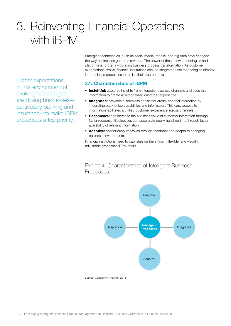# 3. Reinventing Financial Operations with iBPM

Higher expectations, in this environment of evolving technologies, are driving businesses particularly banking and insurance—to make iBPM processes a top priority.

Emerging technologies, such as social media, mobile, and big data have changed the way businesses generate revenue. The power of these new technologies and platforms is further invigorating business process transformation. As customer expectations evolve, financial institutions seek to integrate these technologies directly into business processes to realize their true potential.

### 3.1. Characteristics of iBPM

- Insightful: captures insights from interactions across channels and uses this information to create a personalized customer experience.
- Integrated: provides a seamless consistent cross- channel interaction by integrating back-office capabilities and information. This easy access to information facilitates a unified customer experience across channels.
- Responsive: can increase the business value of customer interaction through faster response. Businesses can accelerate query-handling time through faster availability of relevant information.
- Adaptive: continuously improves through feedback and adapts to changing business environments.

Financial institutions need to capitalize on the efficient, flexible, and visually adjustable processes iBPM offers.

### Exhibit 4: Characteristics of Intelligent Business Processes

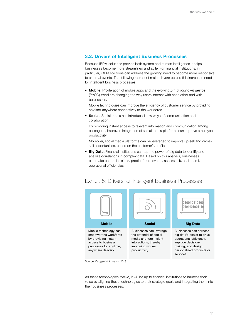#### 3.2. Drivers of Intelligent Business Processes

Because iBPM solutions provide both system and human intelligence it helps businesses become more streamlined and agile. For financial institutions, in particular, iBPM solutions can address the growing need to become more responsive to external events. The following represent major drivers behind this increased need for intelligent business processes.

• **Mobile.** Proliferation of mobile apps and the evolving *bring your own device* (BYOD) trend are changing the way users interact with each other and with businesses.

Mobile technologies can improve the efficiency of customer service by providing anytime-anywhere connectivity to the workforce.

• Social. Social media has introduced new ways of communication and collaboration.

By providing instant access to relevant information and communication among colleagues, improved integration of social media platforms can improve employee productivity.

Moreover, social media platforms can be leveraged to improve up-sell and crosssell opportunities, based on the customer's profile.

• Big Data. Financial institutions can tap the power of big data to identify and analyze correlations in complex data. Based on this analysis, businesses can make better decisions, predict future events, assess risk, and optimize operational efficiencies.



### Exhibit 5: Drivers for Intelligent Business Processes

Source: Capgemini Analysis, 2013

As these technologies evolve, it will be up to financial institutions to harness their value by aligning these technologies to their strategic goals and integrating them into their business processes.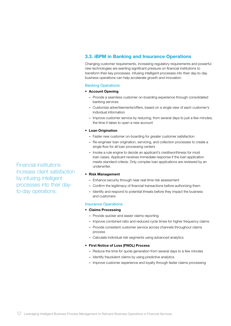### 3.3. iBPM in Banking and Insurance Operations

Changing customer requirements, increasing regulatory requirements and powerful new technologies are exerting significant pressure on financial institutions to transform their key processes. Infusing intelligent processes into their day-to-day business operations can help accelerate growth and innovation.

#### Banking Operations

#### • Account Opening

- Provide a seamless customer on-boarding experience through consolidated banking services
- Customize advertisements/offers, based on a single view of each customer's individual information
- Improve customer service by reducing, from several days to just a few minutes, the time it takes to open a new account

#### • Loan Origination

- Faster new customer on-boarding for greater customer satisfaction
- Re-engineer loan origination, servicing, and collection processes to create a single flow for all loan processing centers
- Invoke a rule engine to decide an applicant's creditworthiness for most loan cases. Applicant receives immediate response if the loan application meets standard criteria. Only complex loan applications are reviewed by an underwriter.

#### • Risk Management

- Enhance security through near real-time risk assessment
- Confirm the legitimacy of financial transactions before authorizing them
- Identify and respond to potential threats before they impact the business and customers

#### Insurance Operations

#### • Claims Processing

- Provide quicker and easier claims reporting
- Improve combined ratio and reduced cycle times for higher frequency claims
- Provide consistent customer service across channels throughout claims process
- Calculate individual risk segments using advanced analytics

#### • First Notice of Loss (FNOL) Process

- Reduce the time for quote generation from several days to a few minutes
- Identify fraudulent claims by using predictive analytics
- Improve customer experience and loyalty through faster claims processing

Financial institutions increase client satisfaction by infusing intelligent processes into their dayto-day operations.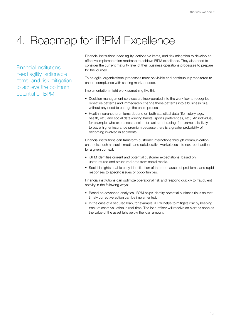# 4. Roadmap for iBPM Excellence

Financial institutions need agility, actionable items, and risk mitigation to achieve the optimum potential of iBPM.

Financial institutions need agility, actionable items, and risk mitigation to develop an effective implementation roadmap to achieve iBPM excellence. They also need to consider the current maturity level of their business operations processes to prepare for the journey.

To be agile, organizational processes must be visible and continuously monitored to ensure compliance with shifting market needs.

Implementation might work something like this:

- Decision management services are incorporated into the workflow to recognize repetitive patterns and immediately change these patterns into a business rule, without any need to change the entire process.
- Health insurance premiums depend on both statistical data (life history, age, health, etc.) and social data (driving habits, sports preferences, etc.). An individual, for example, who expresses passion for fast street racing, for example, is likely to pay a higher insurance premium because there is a greater probability of becoming involved in accidents.

Financial institutions can transform customer interactions through communication channels, such as social media and collaborative workplaces into next best action for a given context.

- iBPM identifies current and potential customer expectations, based on unstructured and structured data from social media.
- Social insights enable early identification of the root causes of problems, and rapid responses to specific issues or opportunities.

Financial institutions can optimize operational risk and respond quickly to fraudulent activity in the following ways:

- Based on advanced analytics, iBPM helps identify potential business risks so that timely corrective action can be implemented.
- In the case of a secured loan, for example, iBPM helps to mitigate risk by keeping track of asset valuation in real-time. The loan officer will receive an alert as soon as the value of the asset falls below the loan amount.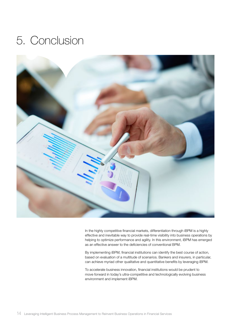## 5. Conclusion



In the highly competitive financial markets, differentiation through iBPM is a highly effective and inevitable way to provide real-time visibility into business operations by helping to optimize performance and agility. In this environment, iBPM has emerged as an effective answer to the deficiencies of conventional BPM.

By implementing iBPM, financial institutions can identify the best course of action, based on evaluation of a multitude of scenarios. Bankers and insurers, in particular, can achieve myriad other qualitative and quantitative benefits by leveraging iBPM.

To accelerate business innovation, financial institutions would be prudent to move forward in today's ultra-competitive and technologically evolving business environment and implement iBPM.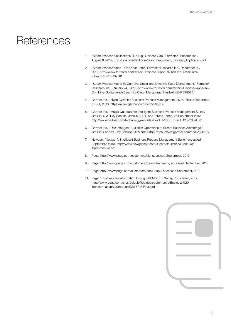## **References**

- 1. "Smart Process Applications Fill a Big Business Gap," Forrester Research Inc., August 8, 2012, http://bps.opentext.com/resources/Smart\_Process\_Application.pdf
- 2. "Smart Process Apps One Year Later," Forrester Research Inc., December 10, 2013, [http://www.forrester.com/Smart+Process+Apps+8212+One+Year+Later/](http://www.forrester.com/Smart+Process+Apps+8212+One+Year+Later/fulltext/-/E-RES107581) [fulltext/-/E-RES107581](http://www.forrester.com/Smart+Process+Apps+8212+One+Year+Later/fulltext/-/E-RES107581)
- 3. "Smart Process Apps: To Combine Social and Dynamic Case Management," Forrester Research Inc., January 24, 2013, [http://www.forrester.com/Smart+Process+Apps+To+](http://www.forrester.com/Smart+Process+Apps+To+Combine+Social+And+Dynamic+Case+Management/fulltext/-/E-RES85901) [Combine+Social+And+Dynamic+Case+Management/fulltext/-/E-RES85901](http://www.forrester.com/Smart+Process+Apps+To+Combine+Social+And+Dynamic+Case+Management/fulltext/-/E-RES85901)
- 4. Gartner Inc., "Hype Cycle for Business Process Management, 2013," Bruce Robertson, 31 July 2013, https://www.gartner.com/doc/2565319
- 5. Gartner Inc., "Magic Quadrant for Intelligent Business Process Management Suites," Jim Sinur, W. Roy Schulte, Janelle B. Hill, and Teresa Jones, 27 September 2012, http://www.gartner.com/technology/reprints.do?id=1-1C86TEL&ct=120928&st=sb
- 6. Gartner Inc., "Use Intelligent Business Operations to Create Business Advantage," Jim Sinur and W. Roy Schulte, 20 March 2013, https://www.gartner.com/doc/2380116
- 7. Newgen, "Newgen's Intelligent Business Process Management Suite," accessed September, 2013, [http://www.newgensoft.com/sites/default/files/Brochure/](http://www.newgensoft.com/sites/default/files/Brochure/ibpsBrochure.pdf) [ibpsBrochure.pdf](http://www.newgensoft.com/sites/default/files/Brochure/ibpsBrochure.pdf)
- 8. Pega, http://www.pega.com/customers/aig, accessed September, 2013
- 9. Pega, http://www.pega.com/customers/bank-of-america, accessed September, 2013
- 10. Pega, http://www.pega.com/customers/ocbc-bank, accessed September, 2013
- 11. Pega: "Business Transformation through iBPMS," Dr. Setrag Khoshafian, 2012, [http://www.pega.com/sites/default/files/docs/community/Business%20](http://www.pega.com/sites/default/files/docs/community/Business%20Transformation%20through%20iBPM-Final.pdf) [Transformation%20through%20iBPM-Final.pdf](http://www.pega.com/sites/default/files/docs/community/Business%20Transformation%20through%20iBPM-Final.pdf)